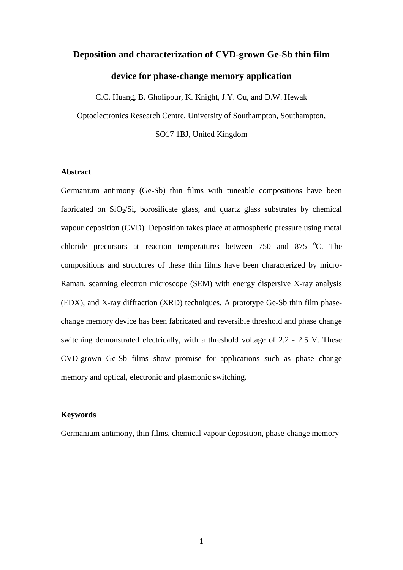# **Deposition and characterization of CVD-grown Ge-Sb thin film device for phase-change memory application**

C.C. Huang, B. Gholipour, K. Knight, J.Y. Ou, and D.W. Hewak

Optoelectronics Research Centre, University of Southampton, Southampton,

SO17 1BJ, United Kingdom

## **Abstract**

Germanium antimony (Ge-Sb) thin films with tuneable compositions have been fabricated on  $SiO<sub>2</sub>/Si$ , borosilicate glass, and quartz glass substrates by chemical vapour deposition (CVD). Deposition takes place at atmospheric pressure using metal chloride precursors at reaction temperatures between  $750$  and  $875$  °C. The compositions and structures of these thin films have been characterized by micro-Raman, scanning electron microscope (SEM) with energy dispersive X-ray analysis (EDX), and X-ray diffraction (XRD) techniques. A prototype Ge-Sb thin film phasechange memory device has been fabricated and reversible threshold and phase change switching demonstrated electrically, with a threshold voltage of 2.2 - 2.5 V. These CVD-grown Ge-Sb films show promise for applications such as phase change memory and optical, electronic and plasmonic switching.

### **Keywords**

Germanium antimony, thin films, chemical vapour deposition, phase-change memory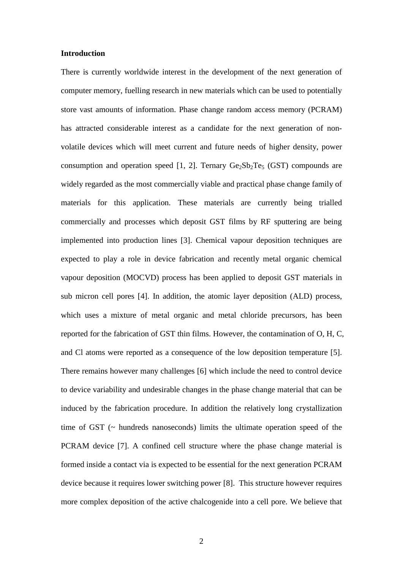#### **Introduction**

There is currently worldwide interest in the development of the next generation of computer memory, fuelling research in new materials which can be used to potentially store vast amounts of information. Phase change random access memory (PCRAM) has attracted considerable interest as a candidate for the next generation of nonvolatile devices which will meet current and future needs of higher density, power consumption and operation speed [1, 2]. Ternary  $Ge_2Sb_2Te_5$  (GST) compounds are widely regarded as the most commercially viable and practical phase change family of materials for this application. These materials are currently being trialled commercially and processes which deposit GST films by RF sputtering are being implemented into production lines [3]. Chemical vapour deposition techniques are expected to play a role in device fabrication and recently metal organic chemical vapour deposition (MOCVD) process has been applied to deposit GST materials in sub micron cell pores [4]. In addition, the atomic layer deposition (ALD) process, which uses a mixture of metal organic and metal chloride precursors, has been reported for the fabrication of GST thin films. However, the contamination of O, H, C, and Cl atoms were reported as a consequence of the low deposition temperature [5]. There remains however many challenges [6] which include the need to control device to device variability and undesirable changes in the phase change material that can be induced by the fabrication procedure. In addition the relatively long crystallization time of GST (~ hundreds nanoseconds) limits the ultimate operation speed of the PCRAM device [7]. A confined cell structure where the phase change material is formed inside a contact via is expected to be essential for the next generation PCRAM device because it requires lower switching power [8]. This structure however requires more complex deposition of the active chalcogenide into a cell pore. We believe that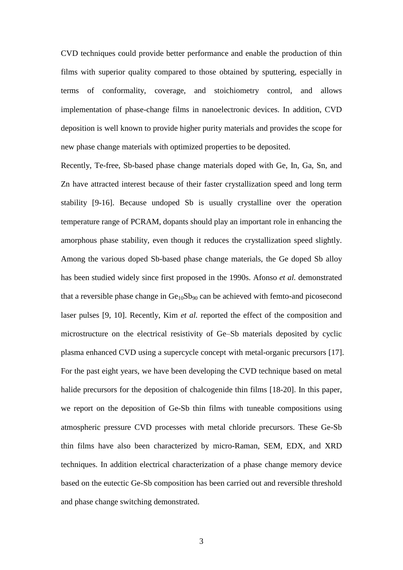CVD techniques could provide better performance and enable the production of thin films with superior quality compared to those obtained by sputtering, especially in terms of conformality, coverage, and stoichiometry control, and allows implementation of phase-change films in nanoelectronic devices. In addition, CVD deposition is well known to provide higher purity materials and provides the scope for new phase change materials with optimized properties to be deposited.

Recently, Te-free, Sb-based phase change materials doped with Ge, In, Ga, Sn, and Zn have attracted interest because of their faster crystallization speed and long term stability [9-16]. Because undoped Sb is usually crystalline over the operation temperature range of PCRAM, dopants should play an important role in enhancing the amorphous phase stability, even though it reduces the crystallization speed slightly. Among the various doped Sb-based phase change materials, the Ge doped Sb alloy has been studied widely since first proposed in the 1990s. Afonso *et al.* demonstrated that a reversible phase change in  $Ge_{10}Sb_{90}$  can be achieved with femto-and picosecond laser pulses [9, 10]. Recently, Kim *et al.* reported the effect of the composition and microstructure on the electrical resistivity of Ge–Sb materials deposited by cyclic plasma enhanced CVD using a supercycle concept with metal-organic precursors [17]. For the past eight years, we have been developing the CVD technique based on metal halide precursors for the deposition of chalcogenide thin films [18-20]. In this paper, we report on the deposition of Ge-Sb thin films with tuneable compositions using atmospheric pressure CVD processes with metal chloride precursors. These Ge-Sb thin films have also been characterized by micro-Raman, SEM, EDX, and XRD techniques. In addition electrical characterization of a phase change memory device based on the eutectic Ge-Sb composition has been carried out and reversible threshold and phase change switching demonstrated.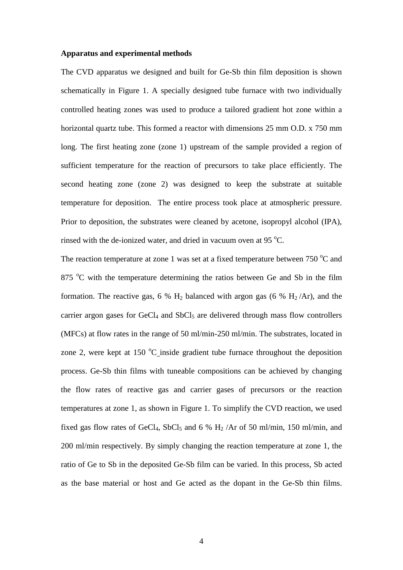#### **Apparatus and experimental methods**

The CVD apparatus we designed and built for Ge-Sb thin film deposition is shown schematically in Figure 1. A specially designed tube furnace with two individually controlled heating zones was used to produce a tailored gradient hot zone within a horizontal quartz tube. This formed a reactor with dimensions 25 mm O.D. x 750 mm long. The first heating zone (zone 1) upstream of the sample provided a region of sufficient temperature for the reaction of precursors to take place efficiently. The second heating zone (zone 2) was designed to keep the substrate at suitable temperature for deposition. The entire process took place at atmospheric pressure. Prior to deposition, the substrates were cleaned by acetone, isopropyl alcohol (IPA), rinsed with the de-ionized water, and dried in vacuum oven at 95 $^{\circ}$ C.

The reaction temperature at zone 1 was set at a fixed temperature between 750  $^{\circ}$ C and 875  $\degree$ C with the temperature determining the ratios between Ge and Sb in the film formation. The reactive gas, 6 %  $H_2$  balanced with argon gas (6 %  $H_2/Ar$ ), and the carrier argon gases for  $GeCl<sub>4</sub>$  and  $SbCl<sub>5</sub>$  are delivered through mass flow controllers (MFCs) at flow rates in the range of 50 ml/min-250 ml/min. The substrates, located in zone 2, were kept at 150  $\degree$ C inside gradient tube furnace throughout the deposition process. Ge-Sb thin films with tuneable compositions can be achieved by changing the flow rates of reactive gas and carrier gases of precursors or the reaction temperatures at zone 1, as shown in Figure 1. To simplify the CVD reaction, we used fixed gas flow rates of GeCl<sub>4</sub>, SbCl<sub>5</sub> and 6 % H<sub>2</sub> /Ar of 50 ml/min, 150 ml/min, and 200 ml/min respectively. By simply changing the reaction temperature at zone 1, the ratio of Ge to Sb in the deposited Ge-Sb film can be varied. In this process, Sb acted as the base material or host and Ge acted as the dopant in the Ge-Sb thin films.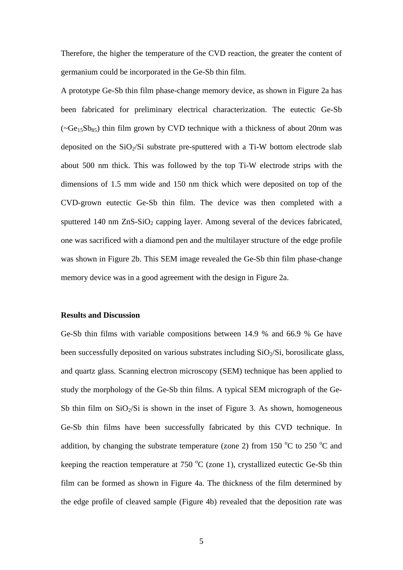Therefore, the higher the temperature of the CVD reaction, the greater the content of germanium could be incorporated in the Ge-Sb thin film.

A prototype Ge-Sb thin film phase-change memory device, as shown in Figure 2a has been fabricated for preliminary electrical characterization. The eutectic Ge-Sb  $(\sim Ge_{15}Sb_{85})$  thin film grown by CVD technique with a thickness of about 20nm was deposited on the  $SiO<sub>2</sub>/Si$  substrate pre-sputtered with a Ti-W bottom electrode slab about 500 nm thick. This was followed by the top Ti-W electrode strips with the dimensions of 1.5 mm wide and 150 nm thick which were deposited on top of the CVD-grown eutectic Ge-Sb thin film. The device was then completed with a sputtered 140 nm  $ZnS-SiO<sub>2</sub>$  capping layer. Among several of the devices fabricated, one was sacrificed with a diamond pen and the multilayer structure of the edge profile was shown in Figure 2b. This SEM image revealed the Ge-Sb thin film phase-change memory device was in a good agreement with the design in Figure 2a.

## **Results and Discussion**

Ge-Sb thin films with variable compositions between 14.9 % and 66.9 % Ge have been successfully deposited on various substrates including  $SiO<sub>2</sub>/Si$ , borosilicate glass, and quartz glass. Scanning electron microscopy (SEM) technique has been applied to study the morphology of the Ge-Sb thin films. A typical SEM micrograph of the Ge-Sb thin film on  $SiO<sub>2</sub>/Si$  is shown in the inset of Figure 3. As shown, homogeneous Ge-Sb thin films have been successfully fabricated by this CVD technique. In addition, by changing the substrate temperature (zone 2) from 150  $\rm{^{\circ}C}$  to 250  $\rm{^{\circ}C}$  and keeping the reaction temperature at  $750 \degree C$  (zone 1), crystallized eutectic Ge-Sb thin film can be formed as shown in Figure 4a. The thickness of the film determined by the edge profile of cleaved sample (Figure 4b) revealed that the deposition rate was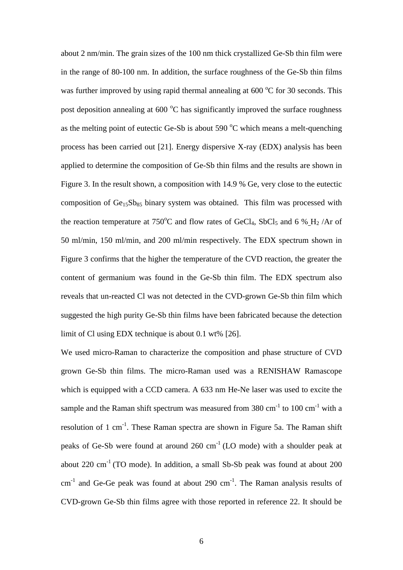about 2 nm/min. The grain sizes of the 100 nm thick crystallized Ge-Sb thin film were in the range of 80-100 nm. In addition, the surface roughness of the Ge-Sb thin films was further improved by using rapid thermal annealing at 600 °C for 30 seconds. This post deposition annealing at  $600\text{ °C}$  has significantly improved the surface roughness as the melting point of eutectic Ge-Sb is about 590  $^{\circ}$ C which means a melt-quenching process has been carried out [21]. Energy dispersive X-ray (EDX) analysis has been applied to determine the composition of Ge-Sb thin films and the results are shown in Figure 3. In the result shown, a composition with 14.9 % Ge, very close to the eutectic composition of  $Ge<sub>15</sub>Sb<sub>85</sub>$  binary system was obtained. This film was processed with the reaction temperature at 750°C and flow rates of GeCl<sub>4</sub>, SbCl<sub>5</sub> and 6 % H<sub>2</sub>/Ar of 50 ml/min, 150 ml/min, and 200 ml/min respectively. The EDX spectrum shown in Figure 3 confirms that the higher the temperature of the CVD reaction, the greater the content of germanium was found in the Ge-Sb thin film. The EDX spectrum also reveals that un-reacted Cl was not detected in the CVD-grown Ge-Sb thin film which suggested the high purity Ge-Sb thin films have been fabricated because the detection limit of Cl using EDX technique is about 0.1 wt% [26].

We used micro-Raman to characterize the composition and phase structure of CVD grown Ge-Sb thin films. The micro-Raman used was a RENISHAW Ramascope which is equipped with a CCD camera. A 633 nm He-Ne laser was used to excite the sample and the Raman shift spectrum was measured from  $380 \text{ cm}^{-1}$  to  $100 \text{ cm}^{-1}$  with a resolution of 1 cm<sup>-1</sup>. These Raman spectra are shown in Figure 5a. The Raman shift peaks of Ge-Sb were found at around  $260 \text{ cm}^{-1}$  (LO mode) with a shoulder peak at about  $220 \text{ cm}^{-1}$  (TO mode). In addition, a small Sb-Sb peak was found at about  $200$  $cm<sup>-1</sup>$  and Ge-Ge peak was found at about 290  $cm<sup>-1</sup>$ . The Raman analysis results of CVD-grown Ge-Sb thin films agree with those reported in reference 22. It should be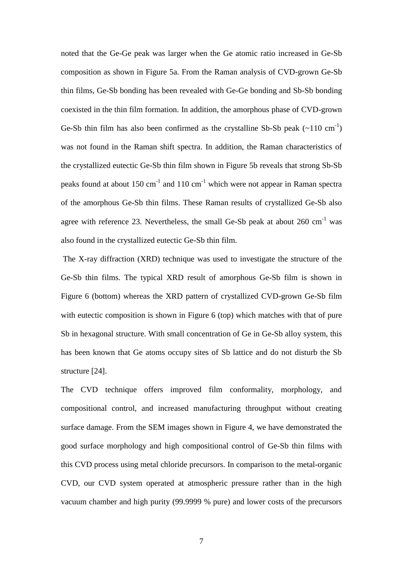noted that the Ge-Ge peak was larger when the Ge atomic ratio increased in Ge-Sb composition as shown in Figure 5a. From the Raman analysis of CVD-grown Ge-Sb thin films, Ge-Sb bonding has been revealed with Ge-Ge bonding and Sb-Sb bonding coexisted in the thin film formation. In addition, the amorphous phase of CVD-grown Ge-Sb thin film has also been confirmed as the crystalline Sb-Sb peak  $(\sim 110 \text{ cm}^{-1})$ was not found in the Raman shift spectra. In addition, the Raman characteristics of the crystallized eutectic Ge-Sb thin film shown in Figure 5b reveals that strong Sb-Sb peaks found at about 150 cm<sup>-1</sup> and 110 cm<sup>-1</sup> which were not appear in Raman spectra of the amorphous Ge-Sb thin films. These Raman results of crystallized Ge-Sb also agree with reference 23. Nevertheless, the small Ge-Sb peak at about  $260 \text{ cm}^{-1}$  was also found in the crystallized eutectic Ge-Sb thin film.

The X-ray diffraction (XRD) technique was used to investigate the structure of the Ge-Sb thin films. The typical XRD result of amorphous Ge-Sb film is shown in Figure 6 (bottom) whereas the XRD pattern of crystallized CVD-grown Ge-Sb film with eutectic composition is shown in Figure 6 (top) which matches with that of pure Sb in hexagonal structure. With small concentration of Ge in Ge-Sb alloy system, this has been known that Ge atoms occupy sites of Sb lattice and do not disturb the Sb structure [24].

The CVD technique offers improved film conformality, morphology, and compositional control, and increased manufacturing throughput without creating surface damage. From the SEM images shown in Figure 4, we have demonstrated the good surface morphology and high compositional control of Ge-Sb thin films with this CVD process using metal chloride precursors. In comparison to the metal-organic CVD, our CVD system operated at atmospheric pressure rather than in the high vacuum chamber and high purity (99.9999 % pure) and lower costs of the precursors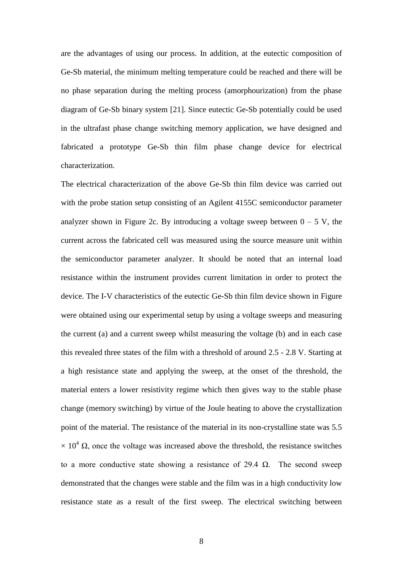are the advantages of using our process. In addition, at the eutectic composition of Ge-Sb material, the minimum melting temperature could be reached and there will be no phase separation during the melting process (amorphourization) from the phase diagram of Ge-Sb binary system [21]. Since eutectic Ge-Sb potentially could be used in the ultrafast phase change switching memory application, we have designed and fabricated a prototype Ge-Sb thin film phase change device for electrical characterization.

The electrical characterization of the above Ge-Sb thin film device was carried out with the probe station setup consisting of an Agilent 4155C semiconductor parameter analyzer shown in Figure 2c. By introducing a voltage sweep between  $0 - 5$  V, the current across the fabricated cell was measured using the source measure unit within the semiconductor parameter analyzer. It should be noted that an internal load resistance within the instrument provides current limitation in order to protect the device. The I-V characteristics of the eutectic Ge-Sb thin film device shown in Figure were obtained using our experimental setup by using a voltage sweeps and measuring the current (a) and a current sweep whilst measuring the voltage (b) and in each case this revealed three states of the film with a threshold of around 2.5 - 2.8 V. Starting at a high resistance state and applying the sweep, at the onset of the threshold, the material enters a lower resistivity regime which then gives way to the stable phase change (memory switching) by virtue of the Joule heating to above the crystallization point of the material. The resistance of the material in its non-crystalline state was 5.5  $\times$  10<sup>4</sup> Ω, once the voltage was increased above the threshold, the resistance switches to a more conductive state showing a resistance of 29.4  $\Omega$ . The second sweep demonstrated that the changes were stable and the film was in a high conductivity low resistance state as a result of the first sweep. The electrical switching between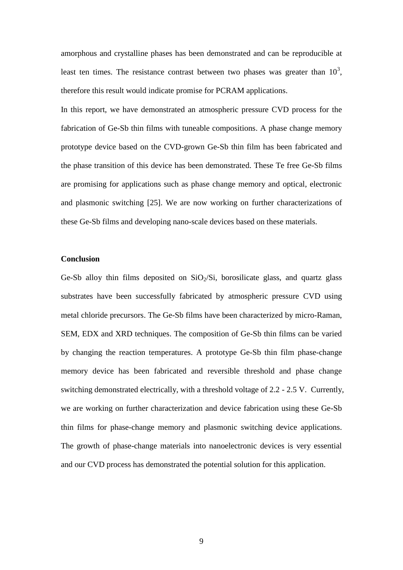amorphous and crystalline phases has been demonstrated and can be reproducible at least ten times. The resistance contrast between two phases was greater than  $10^3$ , therefore this result would indicate promise for PCRAM applications.

In this report, we have demonstrated an atmospheric pressure CVD process for the fabrication of Ge-Sb thin films with tuneable compositions. A phase change memory prototype device based on the CVD-grown Ge-Sb thin film has been fabricated and the phase transition of this device has been demonstrated. These Te free Ge-Sb films are promising for applications such as phase change memory and optical, electronic and plasmonic switching [25]. We are now working on further characterizations of these Ge-Sb films and developing nano-scale devices based on these materials.

# **Conclusion**

Ge-Sb alloy thin films deposited on  $SiO<sub>2</sub>/Si$ , borosilicate glass, and quartz glass substrates have been successfully fabricated by atmospheric pressure CVD using metal chloride precursors. The Ge-Sb films have been characterized by micro-Raman, SEM, EDX and XRD techniques. The composition of Ge-Sb thin films can be varied by changing the reaction temperatures. A prototype Ge-Sb thin film phase-change memory device has been fabricated and reversible threshold and phase change switching demonstrated electrically, with a threshold voltage of 2.2 - 2.5 V. Currently, we are working on further characterization and device fabrication using these Ge-Sb thin films for phase-change memory and plasmonic switching device applications. The growth of phase-change materials into nanoelectronic devices is very essential and our CVD process has demonstrated the potential solution for this application.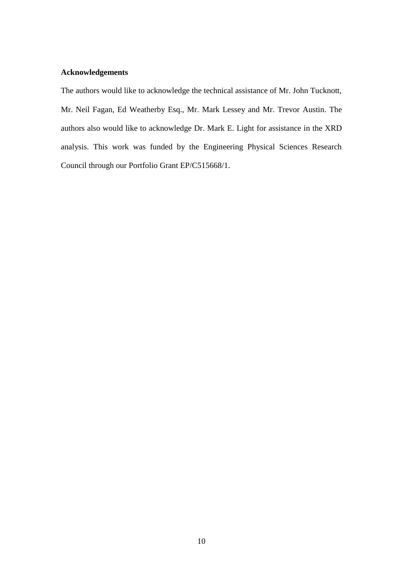# **Acknowledgements**

The authors would like to acknowledge the technical assistance of Mr. John Tucknott, Mr. Neil Fagan, Ed Weatherby Esq., Mr. Mark Lessey and Mr. Trevor Austin. The authors also would like to acknowledge Dr. Mark E. Light for assistance in the XRD analysis. This work was funded by the Engineering Physical Sciences Research Council through our Portfolio Grant EP/C515668/1.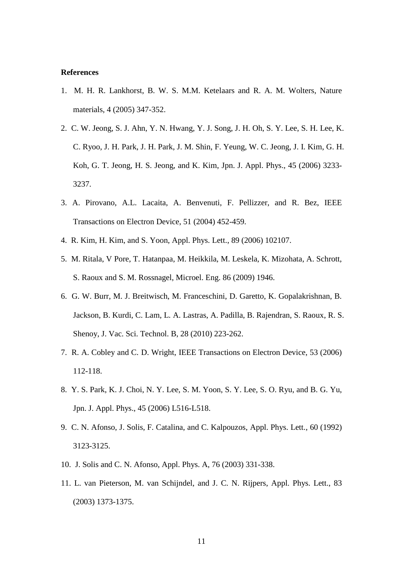#### **References**

- 1. M. H. R. Lankhorst, B. W. S. M.M. Ketelaars and R. A. M. Wolters, Nature materials, 4 (2005) 347-352.
- 2. C. W. Jeong, S. J. Ahn, Y. N. Hwang, Y. J. Song, J. H. Oh, S. Y. Lee, S. H. Lee, K. C. Ryoo, J. H. Park, J. H. Park, J. M. Shin, F. Yeung, W. C. Jeong, J. I. Kim, G. H. Koh, G. T. Jeong, H. S. Jeong, and K. Kim, Jpn. J. Appl. Phys., 45 (2006) 3233- 3237.
- 3. A. Pirovano, A.L. Lacaita, A. Benvenuti, F. Pellizzer, and R. Bez, IEEE Transactions on Electron Device, 51 (2004) 452-459.
- 4. R. Kim, H. Kim, and S. Yoon, Appl. Phys. Lett., 89 (2006) 102107.
- 5. M. Ritala, V Pore, T. Hatanpaa, M. Heikkila, M. Leskela, K. Mizohata, A. Schrott, S. Raoux and S. M. Rossnagel, Microel. Eng. 86 (2009) 1946.
- 6. G. W. Burr, M. J. Breitwisch, M. Franceschini, D. Garetto, K. Gopalakrishnan, B. Jackson, B. Kurdi, C. Lam, L. A. Lastras, A. Padilla, B. Rajendran, S. Raoux, R. S. Shenoy, J. Vac. Sci. Technol. B, 28 (2010) 223-262.
- 7. R. A. Cobley and C. D. Wright, IEEE Transactions on Electron Device, 53 (2006) 112-118.
- 8. Y. S. Park, K. J. Choi, N. Y. Lee, S. M. Yoon, S. Y. Lee, S. O. Ryu, and B. G. Yu, Jpn. J. Appl. Phys., 45 (2006) L516-L518.
- 9. C. N. Afonso, J. Solis, F. Catalina, and C. Kalpouzos, Appl. Phys. Lett., 60 (1992) 3123-3125.
- 10. J. Solis and C. N. Afonso, Appl. Phys. A, 76 (2003) 331-338.
- 11. L. van Pieterson, M. van Schijndel, and J. C. N. Rijpers, Appl. Phys. Lett., 83 (2003) 1373-1375.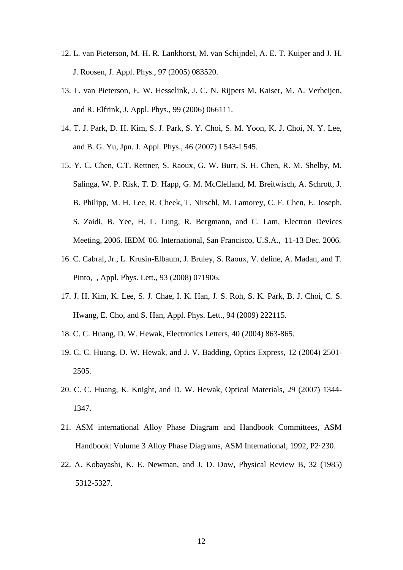- 12. L. van Pieterson, M. H. R. Lankhorst, M. van Schijndel, A. E. T. Kuiper and J. H. J. Roosen, J. Appl. Phys., 97 (2005) 083520.
- 13. L. van Pieterson, E. W. Hesselink, J. C. N. Rijpers M. Kaiser, M. A. Verheijen, and R. Elfrink, J. Appl. Phys., 99 (2006) 066111.
- 14. T. J. Park, D. H. Kim, S. J. Park, S. Y. Choi, S. M. Yoon, K. J. Choi, N. Y. Lee, and B. G. Yu, Jpn. J. Appl. Phys., 46 (2007) L543-L545.
- 15. Y. C. Chen, C.T. Rettner, S. Raoux, G. W. Burr, S. H. Chen, R. M. Shelby, M. Salinga, W. P. Risk, T. D. Happ, G. M. McClelland, M. Breitwisch, A. Schrott, J. B. Philipp, M. H. Lee, R. Cheek, T. Nirschl, M. Lamorey, C. F. Chen, E. Joseph, S. Zaidi, B. Yee, H. L. Lung, R. Bergmann, and C. Lam, Electron Devices Meeting, 2006. IEDM '06. International, San Francisco, U.S.A., 11-13 Dec. 2006.
- 16. C. Cabral, Jr., L. Krusin-Elbaum, J. Bruley, S. Raoux, V. deline, A. Madan, and T. Pinto, , Appl. Phys. Lett., 93 (2008) 071906.
- 17. J. H. Kim, K. Lee, S. J. Chae, I. K. Han, J. S. Roh, S. K. Park, B. J. Choi, C. S. Hwang, E. Cho, and S. Han, Appl. Phys. Lett., 94 (2009) 222115.
- 18. C. C. Huang, D. W. Hewak, Electronics Letters, 40 (2004) 863-865.
- 19. C. C. Huang, D. W. Hewak, and J. V. Badding, Optics Express, 12 (2004) 2501- 2505.
- 20. C. C. Huang, K. Knight, and D. W. Hewak, Optical Materials, 29 (2007) 1344- 1347.
- 21. ASM international Alloy Phase Diagram and Handbook Committees, ASM Handbook: Volume 3 Alloy Phase Diagrams, ASM International, 1992, P2·230.
- 22. A. Kobayashi, K. E. Newman, and J. D. Dow, Physical Review B, 32 (1985) 5312-5327.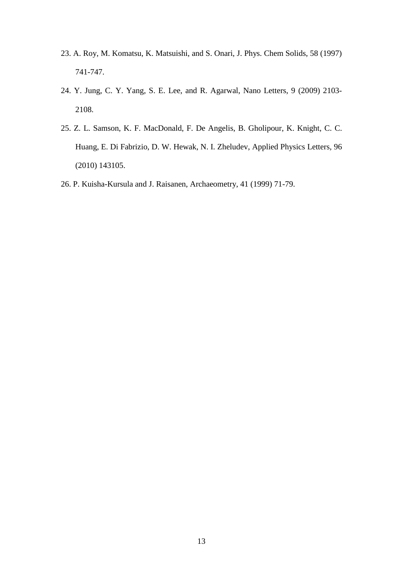- 23. A. Roy, M. Komatsu, K. Matsuishi, and S. Onari, J. Phys. Chem Solids, 58 (1997) 741-747.
- 24. Y. Jung, C. Y. Yang, S. E. Lee, and R. Agarwal, Nano Letters, 9 (2009) 2103- 2108.
- 25. Z. L. Samson, K. F. MacDonald, F. De Angelis, B. Gholipour, K. Knight, C. C. Huang, E. Di Fabrizio, D. W. Hewak, N. I. Zheludev, Applied Physics Letters*,* 96 (2010) 143105.
- 26. P. Kuisha-Kursula and J. Raisanen, Archaeometry, 41 (1999) 71-79.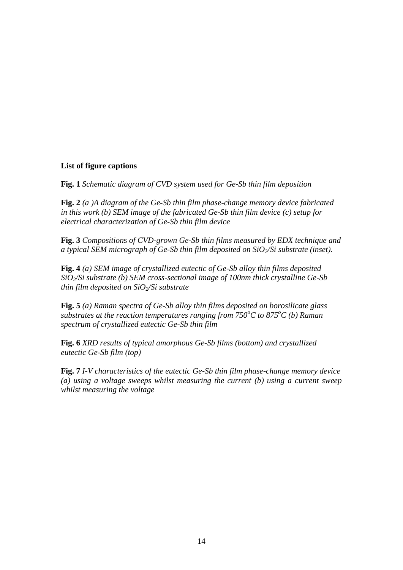# **List of figure captions**

**Fig. 1** *Schematic diagram of CVD system used for Ge-Sb thin film deposition*

**Fig. 2** *(a )A diagram of the Ge-Sb thin film phase-change memory device fabricated in this work (b) SEM image of the fabricated Ge-Sb thin film device (c) setup for electrical characterization of Ge-Sb thin film device* 

**Fig. 3** *Composition*s *of CVD-grown Ge-Sb thin films measured by EDX technique and a typical SEM micrograph of Ge-Sb thin film deposited on SiO2/Si substrate (inset).*

**Fig. 4** *(a) SEM image of crystallized eutectic of Ge-Sb alloy thin films deposited SiO2/Si substrate (b) SEM cross-sectional image of 100nm thick crystalline Ge-Sb thin film deposited on SiO2/Si substrate*

**Fig. 5** *(a) Raman spectra of Ge-Sb alloy thin films deposited on borosilicate glass substrates at the reaction temperatures ranging from 750<sup>o</sup>C to 875<sup>o</sup>C (b) Raman spectrum of crystallized eutectic Ge-Sb thin film*

**Fig. 6** *XRD results of typical amorphous Ge-Sb films (bottom) and crystallized eutectic Ge-Sb film (top)* 

**Fig. 7** *I-V characteristics of the eutectic Ge-Sb thin film phase-change memory device (a) using a voltage sweeps whilst measuring the current (b) using a current sweep whilst measuring the voltage*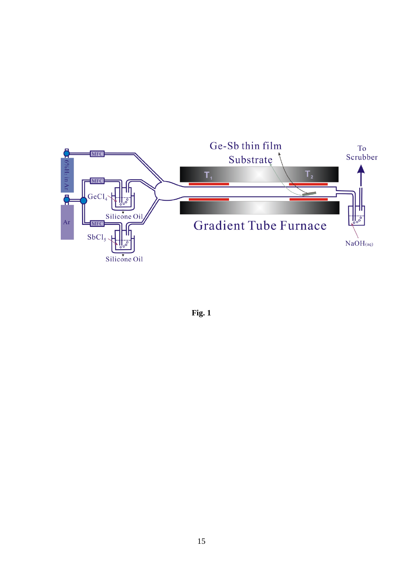

**Fig. 1**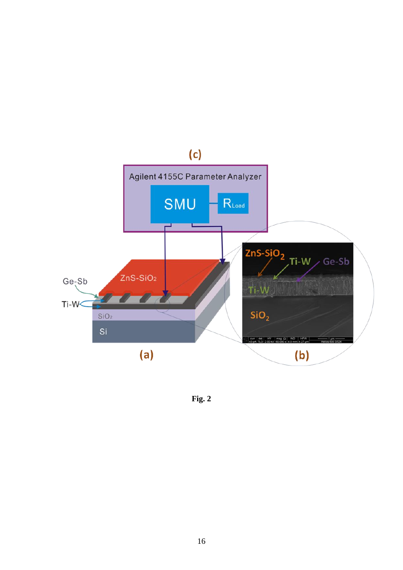

**Fig. 2**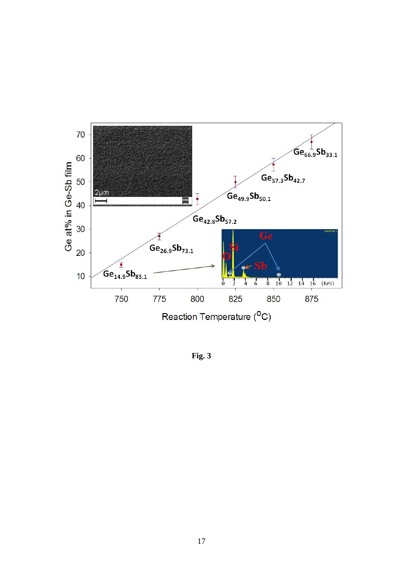

**Fig. 3**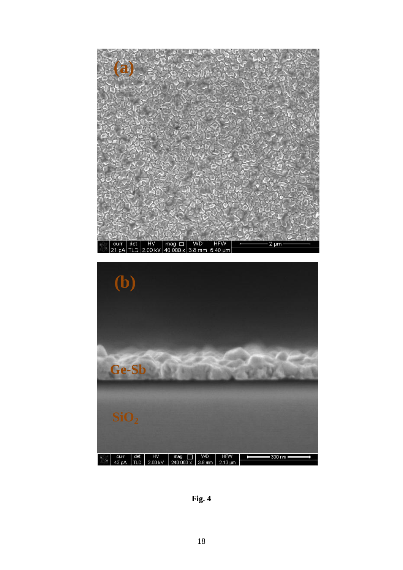



**Fig. 4**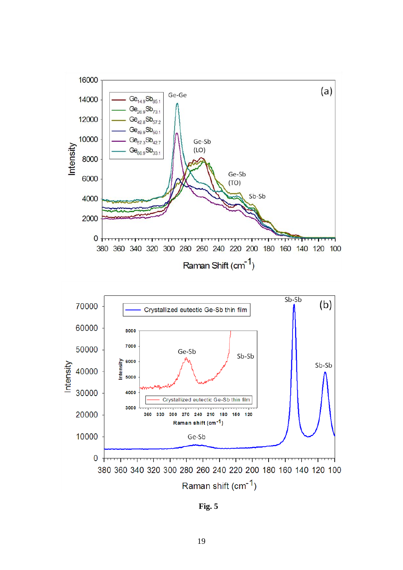

**Fig. 5**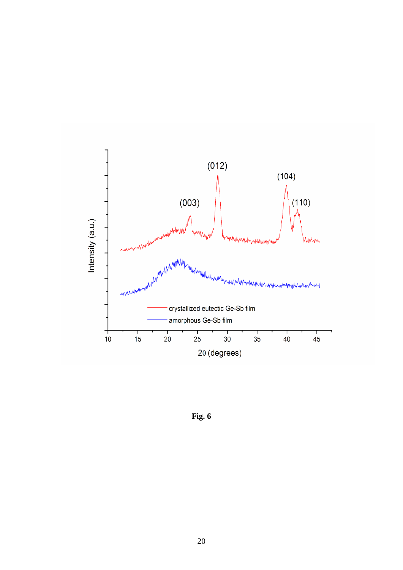

**Fig. 6**